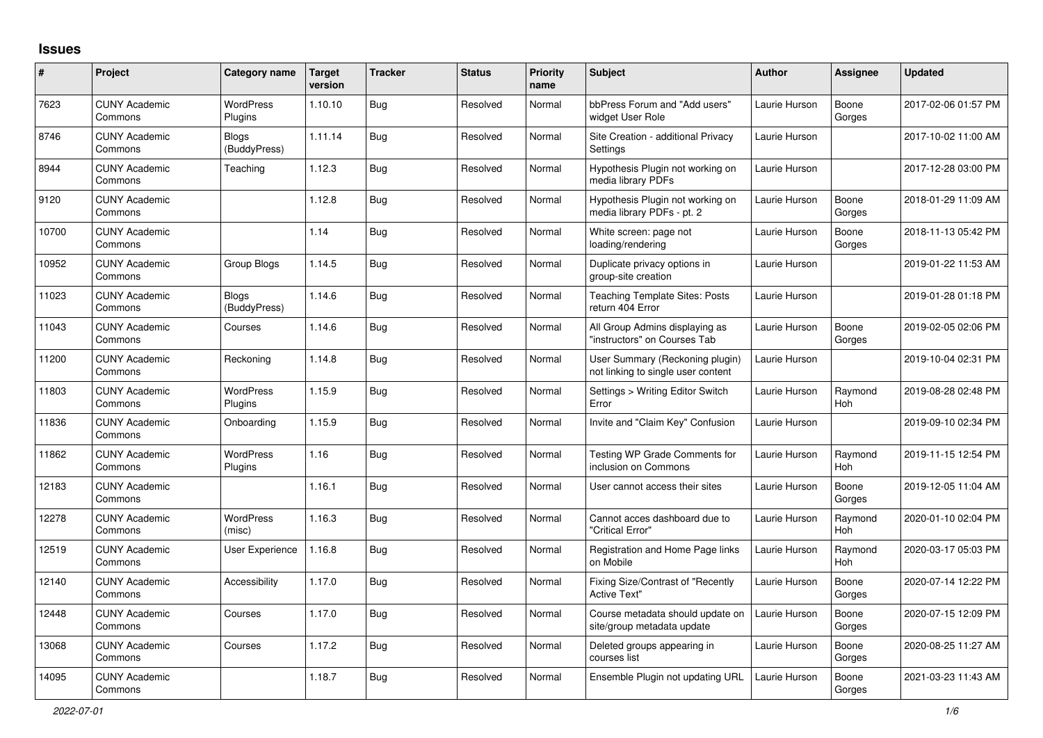## **Issues**

| #     | Project                         | Category name                | <b>Target</b><br>version | <b>Tracker</b> | <b>Status</b> | <b>Priority</b><br>name | <b>Subject</b>                                                        | <b>Author</b> | <b>Assignee</b>       | <b>Updated</b>      |
|-------|---------------------------------|------------------------------|--------------------------|----------------|---------------|-------------------------|-----------------------------------------------------------------------|---------------|-----------------------|---------------------|
| 7623  | <b>CUNY Academic</b><br>Commons | <b>WordPress</b><br>Plugins  | 1.10.10                  | Bug            | Resolved      | Normal                  | bbPress Forum and "Add users"<br>widget User Role                     | Laurie Hurson | Boone<br>Gorges       | 2017-02-06 01:57 PM |
| 8746  | <b>CUNY Academic</b><br>Commons | <b>Blogs</b><br>(BuddyPress) | 1.11.14                  | Bug            | Resolved      | Normal                  | Site Creation - additional Privacy<br>Settings                        | Laurie Hurson |                       | 2017-10-02 11:00 AM |
| 8944  | <b>CUNY Academic</b><br>Commons | Teaching                     | 1.12.3                   | <b>Bug</b>     | Resolved      | Normal                  | Hypothesis Plugin not working on<br>media library PDFs                | Laurie Hurson |                       | 2017-12-28 03:00 PM |
| 9120  | <b>CUNY Academic</b><br>Commons |                              | 1.12.8                   | Bug            | Resolved      | Normal                  | Hypothesis Plugin not working on<br>media library PDFs - pt. 2        | Laurie Hurson | Boone<br>Gorges       | 2018-01-29 11:09 AM |
| 10700 | <b>CUNY Academic</b><br>Commons |                              | 1.14                     | Bug            | Resolved      | Normal                  | White screen: page not<br>loading/rendering                           | Laurie Hurson | Boone<br>Gorges       | 2018-11-13 05:42 PM |
| 10952 | <b>CUNY Academic</b><br>Commons | Group Blogs                  | 1.14.5                   | Bug            | Resolved      | Normal                  | Duplicate privacy options in<br>group-site creation                   | Laurie Hurson |                       | 2019-01-22 11:53 AM |
| 11023 | <b>CUNY Academic</b><br>Commons | <b>Blogs</b><br>(BuddyPress) | 1.14.6                   | Bug            | Resolved      | Normal                  | <b>Teaching Template Sites: Posts</b><br>return 404 Error             | Laurie Hurson |                       | 2019-01-28 01:18 PM |
| 11043 | <b>CUNY Academic</b><br>Commons | Courses                      | 1.14.6                   | <b>Bug</b>     | Resolved      | Normal                  | All Group Admins displaying as<br>"instructors" on Courses Tab        | Laurie Hurson | Boone<br>Gorges       | 2019-02-05 02:06 PM |
| 11200 | <b>CUNY Academic</b><br>Commons | Reckoning                    | 1.14.8                   | Bug            | Resolved      | Normal                  | User Summary (Reckoning plugin)<br>not linking to single user content | Laurie Hurson |                       | 2019-10-04 02:31 PM |
| 11803 | <b>CUNY Academic</b><br>Commons | WordPress<br>Plugins         | 1.15.9                   | <b>Bug</b>     | Resolved      | Normal                  | Settings > Writing Editor Switch<br>Error                             | Laurie Hurson | Raymond<br>Hoh        | 2019-08-28 02:48 PM |
| 11836 | <b>CUNY Academic</b><br>Commons | Onboarding                   | 1.15.9                   | Bug            | Resolved      | Normal                  | Invite and "Claim Key" Confusion                                      | Laurie Hurson |                       | 2019-09-10 02:34 PM |
| 11862 | <b>CUNY Academic</b><br>Commons | WordPress<br>Plugins         | 1.16                     | <b>Bug</b>     | Resolved      | Normal                  | Testing WP Grade Comments for<br>inclusion on Commons                 | Laurie Hurson | Raymond<br>Hoh        | 2019-11-15 12:54 PM |
| 12183 | <b>CUNY Academic</b><br>Commons |                              | 1.16.1                   | <b>Bug</b>     | Resolved      | Normal                  | User cannot access their sites                                        | Laurie Hurson | Boone<br>Gorges       | 2019-12-05 11:04 AM |
| 12278 | <b>CUNY Academic</b><br>Commons | <b>WordPress</b><br>(misc)   | 1.16.3                   | Bug            | Resolved      | Normal                  | Cannot acces dashboard due to<br>'Critical Error"                     | Laurie Hurson | Raymond<br><b>Hoh</b> | 2020-01-10 02:04 PM |
| 12519 | <b>CUNY Academic</b><br>Commons | User Experience              | 1.16.8                   | <b>Bug</b>     | Resolved      | Normal                  | Registration and Home Page links<br>on Mobile                         | Laurie Hurson | Raymond<br>Hoh        | 2020-03-17 05:03 PM |
| 12140 | <b>CUNY Academic</b><br>Commons | Accessibility                | 1.17.0                   | Bug            | Resolved      | Normal                  | Fixing Size/Contrast of "Recently<br><b>Active Text"</b>              | Laurie Hurson | Boone<br>Gorges       | 2020-07-14 12:22 PM |
| 12448 | <b>CUNY Academic</b><br>Commons | Courses                      | 1.17.0                   | <b>Bug</b>     | Resolved      | Normal                  | Course metadata should update on<br>site/group metadata update        | Laurie Hurson | Boone<br>Gorges       | 2020-07-15 12:09 PM |
| 13068 | <b>CUNY Academic</b><br>Commons | Courses                      | 1.17.2                   | Bug            | Resolved      | Normal                  | Deleted groups appearing in<br>courses list                           | Laurie Hurson | Boone<br>Gorges       | 2020-08-25 11:27 AM |
| 14095 | <b>CUNY Academic</b><br>Commons |                              | 1.18.7                   | Bug            | Resolved      | Normal                  | Ensemble Plugin not updating URL                                      | Laurie Hurson | Boone<br>Gorges       | 2021-03-23 11:43 AM |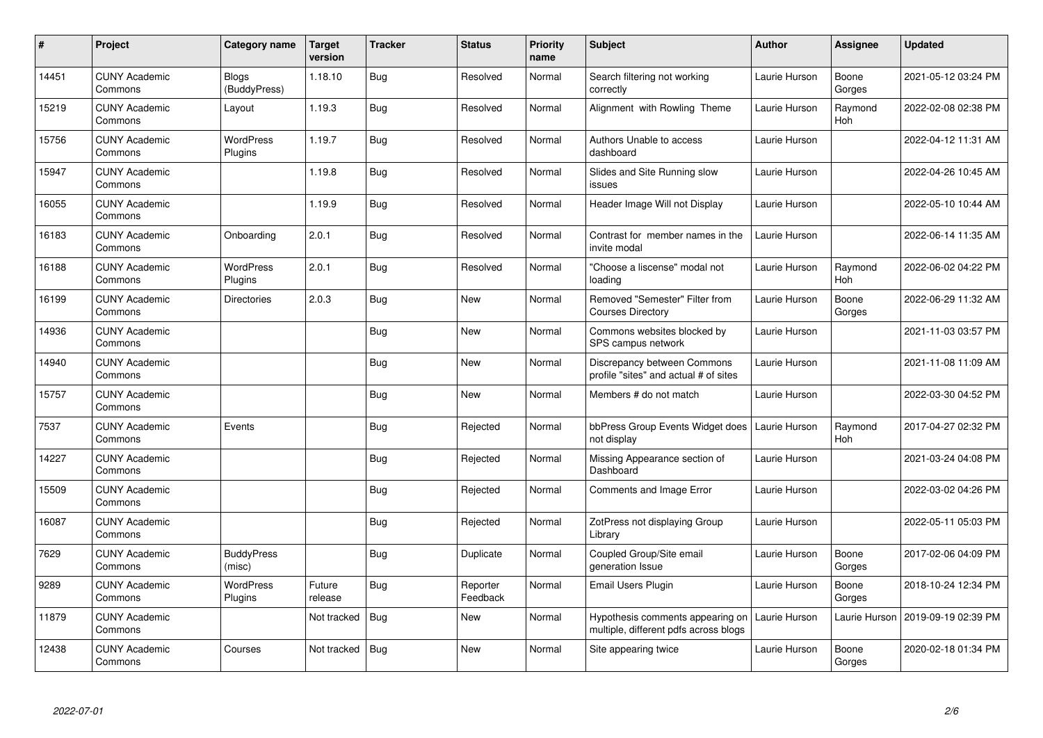| $\pmb{\#}$ | Project                         | Category name                | <b>Target</b><br>version | <b>Tracker</b> | <b>Status</b>        | <b>Priority</b><br>name | <b>Subject</b>                                                            | <b>Author</b> | <b>Assignee</b> | <b>Updated</b>      |
|------------|---------------------------------|------------------------------|--------------------------|----------------|----------------------|-------------------------|---------------------------------------------------------------------------|---------------|-----------------|---------------------|
| 14451      | <b>CUNY Academic</b><br>Commons | <b>Blogs</b><br>(BuddyPress) | 1.18.10                  | Bug            | Resolved             | Normal                  | Search filtering not working<br>correctly                                 | Laurie Hurson | Boone<br>Gorges | 2021-05-12 03:24 PM |
| 15219      | <b>CUNY Academic</b><br>Commons | Layout                       | 1.19.3                   | <b>Bug</b>     | Resolved             | Normal                  | Alignment with Rowling Theme                                              | Laurie Hurson | Raymond<br>Hoh  | 2022-02-08 02:38 PM |
| 15756      | <b>CUNY Academic</b><br>Commons | <b>WordPress</b><br>Plugins  | 1.19.7                   | <b>Bug</b>     | Resolved             | Normal                  | Authors Unable to access<br>dashboard                                     | Laurie Hurson |                 | 2022-04-12 11:31 AM |
| 15947      | <b>CUNY Academic</b><br>Commons |                              | 1.19.8                   | Bug            | Resolved             | Normal                  | Slides and Site Running slow<br>issues                                    | Laurie Hurson |                 | 2022-04-26 10:45 AM |
| 16055      | <b>CUNY Academic</b><br>Commons |                              | 1.19.9                   | <b>Bug</b>     | Resolved             | Normal                  | Header Image Will not Display                                             | Laurie Hurson |                 | 2022-05-10 10:44 AM |
| 16183      | <b>CUNY Academic</b><br>Commons | Onboarding                   | 2.0.1                    | Bug            | Resolved             | Normal                  | Contrast for member names in the<br>invite modal                          | Laurie Hurson |                 | 2022-06-14 11:35 AM |
| 16188      | <b>CUNY Academic</b><br>Commons | <b>WordPress</b><br>Plugins  | 2.0.1                    | Bug            | Resolved             | Normal                  | "Choose a liscense" modal not<br>loading                                  | Laurie Hurson | Raymond<br>Hoh  | 2022-06-02 04:22 PM |
| 16199      | <b>CUNY Academic</b><br>Commons | Directories                  | 2.0.3                    | <b>Bug</b>     | <b>New</b>           | Normal                  | Removed "Semester" Filter from<br><b>Courses Directory</b>                | Laurie Hurson | Boone<br>Gorges | 2022-06-29 11:32 AM |
| 14936      | <b>CUNY Academic</b><br>Commons |                              |                          | <b>Bug</b>     | <b>New</b>           | Normal                  | Commons websites blocked by<br>SPS campus network                         | Laurie Hurson |                 | 2021-11-03 03:57 PM |
| 14940      | <b>CUNY Academic</b><br>Commons |                              |                          | Bug            | New                  | Normal                  | Discrepancy between Commons<br>profile "sites" and actual # of sites      | Laurie Hurson |                 | 2021-11-08 11:09 AM |
| 15757      | <b>CUNY Academic</b><br>Commons |                              |                          | Bug            | New                  | Normal                  | Members # do not match                                                    | Laurie Hurson |                 | 2022-03-30 04:52 PM |
| 7537       | <b>CUNY Academic</b><br>Commons | Events                       |                          | Bug            | Rejected             | Normal                  | bbPress Group Events Widget does<br>not display                           | Laurie Hurson | Raymond<br>Hoh  | 2017-04-27 02:32 PM |
| 14227      | <b>CUNY Academic</b><br>Commons |                              |                          | Bug            | Rejected             | Normal                  | Missing Appearance section of<br>Dashboard                                | Laurie Hurson |                 | 2021-03-24 04:08 PM |
| 15509      | <b>CUNY Academic</b><br>Commons |                              |                          | <b>Bug</b>     | Rejected             | Normal                  | Comments and Image Error                                                  | Laurie Hurson |                 | 2022-03-02 04:26 PM |
| 16087      | <b>CUNY Academic</b><br>Commons |                              |                          | Bug            | Rejected             | Normal                  | ZotPress not displaying Group<br>Librarv                                  | Laurie Hurson |                 | 2022-05-11 05:03 PM |
| 7629       | <b>CUNY Academic</b><br>Commons | <b>BuddyPress</b><br>(misc)  |                          | Bug            | Duplicate            | Normal                  | Coupled Group/Site email<br>generation Issue                              | Laurie Hurson | Boone<br>Gorges | 2017-02-06 04:09 PM |
| 9289       | <b>CUNY Academic</b><br>Commons | <b>WordPress</b><br>Plugins  | Future<br>release        | Bug            | Reporter<br>Feedback | Normal                  | <b>Email Users Plugin</b>                                                 | Laurie Hurson | Boone<br>Gorges | 2018-10-24 12:34 PM |
| 11879      | <b>CUNY Academic</b><br>Commons |                              | Not tracked              | Bug            | <b>New</b>           | Normal                  | Hypothesis comments appearing on<br>multiple, different pdfs across blogs | Laurie Hurson | Laurie Hurson   | 2019-09-19 02:39 PM |
| 12438      | <b>CUNY Academic</b><br>Commons | Courses                      | Not tracked              | <b>Bug</b>     | <b>New</b>           | Normal                  | Site appearing twice                                                      | Laurie Hurson | Boone<br>Gorges | 2020-02-18 01:34 PM |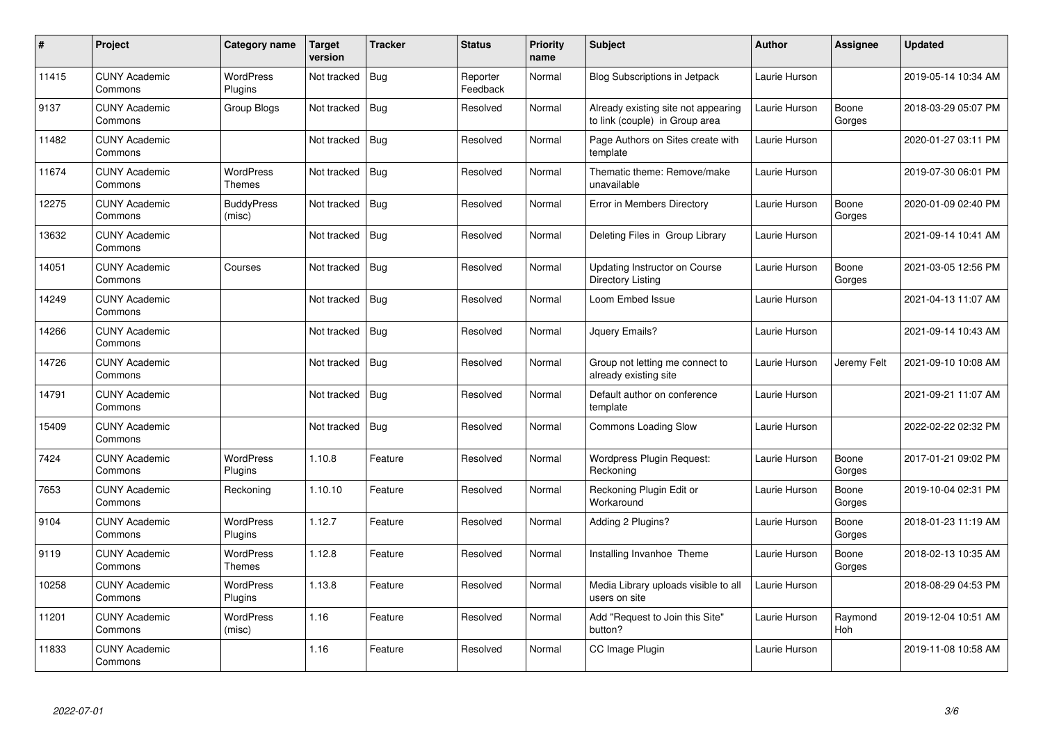| $\pmb{\#}$ | Project                         | Category name               | Target<br>version | <b>Tracker</b> | <b>Status</b>        | <b>Priority</b><br>name | Subject                                                               | <b>Author</b> | Assignee        | <b>Updated</b>      |
|------------|---------------------------------|-----------------------------|-------------------|----------------|----------------------|-------------------------|-----------------------------------------------------------------------|---------------|-----------------|---------------------|
| 11415      | <b>CUNY Academic</b><br>Commons | <b>WordPress</b><br>Plugins | Not tracked       | <b>Bug</b>     | Reporter<br>Feedback | Normal                  | Blog Subscriptions in Jetpack                                         | Laurie Hurson |                 | 2019-05-14 10:34 AM |
| 9137       | <b>CUNY Academic</b><br>Commons | Group Blogs                 | Not tracked       | Bug            | Resolved             | Normal                  | Already existing site not appearing<br>to link (couple) in Group area | Laurie Hurson | Boone<br>Gorges | 2018-03-29 05:07 PM |
| 11482      | <b>CUNY Academic</b><br>Commons |                             | Not tracked       | <b>Bug</b>     | Resolved             | Normal                  | Page Authors on Sites create with<br>template                         | Laurie Hurson |                 | 2020-01-27 03:11 PM |
| 11674      | <b>CUNY Academic</b><br>Commons | <b>WordPress</b><br>Themes  | Not tracked       | <b>Bug</b>     | Resolved             | Normal                  | Thematic theme: Remove/make<br>unavailable                            | Laurie Hurson |                 | 2019-07-30 06:01 PM |
| 12275      | <b>CUNY Academic</b><br>Commons | <b>BuddyPress</b><br>(misc) | Not tracked       | Bug            | Resolved             | Normal                  | Error in Members Directory                                            | Laurie Hurson | Boone<br>Gorges | 2020-01-09 02:40 PM |
| 13632      | <b>CUNY Academic</b><br>Commons |                             | Not tracked       | <b>Bug</b>     | Resolved             | Normal                  | Deleting Files in Group Library                                       | Laurie Hurson |                 | 2021-09-14 10:41 AM |
| 14051      | <b>CUNY Academic</b><br>Commons | Courses                     | Not tracked       | <b>Bug</b>     | Resolved             | Normal                  | <b>Updating Instructor on Course</b><br>Directory Listing             | Laurie Hurson | Boone<br>Gorges | 2021-03-05 12:56 PM |
| 14249      | <b>CUNY Academic</b><br>Commons |                             | Not tracked       | Bug            | Resolved             | Normal                  | Loom Embed Issue                                                      | Laurie Hurson |                 | 2021-04-13 11:07 AM |
| 14266      | <b>CUNY Academic</b><br>Commons |                             | Not tracked       | Bug            | Resolved             | Normal                  | Jquery Emails?                                                        | Laurie Hurson |                 | 2021-09-14 10:43 AM |
| 14726      | <b>CUNY Academic</b><br>Commons |                             | Not tracked       | Bug            | Resolved             | Normal                  | Group not letting me connect to<br>already existing site              | Laurie Hurson | Jeremy Felt     | 2021-09-10 10:08 AM |
| 14791      | <b>CUNY Academic</b><br>Commons |                             | Not tracked       | <b>Bug</b>     | Resolved             | Normal                  | Default author on conference<br>template                              | Laurie Hurson |                 | 2021-09-21 11:07 AM |
| 15409      | <b>CUNY Academic</b><br>Commons |                             | Not tracked       | Bug            | Resolved             | Normal                  | <b>Commons Loading Slow</b>                                           | Laurie Hurson |                 | 2022-02-22 02:32 PM |
| 7424       | <b>CUNY Academic</b><br>Commons | <b>WordPress</b><br>Plugins | 1.10.8            | Feature        | Resolved             | Normal                  | Wordpress Plugin Request:<br>Reckoning                                | Laurie Hurson | Boone<br>Gorges | 2017-01-21 09:02 PM |
| 7653       | <b>CUNY Academic</b><br>Commons | Reckoning                   | 1.10.10           | Feature        | Resolved             | Normal                  | Reckoning Plugin Edit or<br>Workaround                                | Laurie Hurson | Boone<br>Gorges | 2019-10-04 02:31 PM |
| 9104       | <b>CUNY Academic</b><br>Commons | WordPress<br>Plugins        | 1.12.7            | Feature        | Resolved             | Normal                  | Adding 2 Plugins?                                                     | Laurie Hurson | Boone<br>Gorges | 2018-01-23 11:19 AM |
| 9119       | <b>CUNY Academic</b><br>Commons | <b>WordPress</b><br>Themes  | 1.12.8            | Feature        | Resolved             | Normal                  | Installing Invanhoe Theme                                             | Laurie Hurson | Boone<br>Gorges | 2018-02-13 10:35 AM |
| 10258      | <b>CUNY Academic</b><br>Commons | WordPress<br>Plugins        | 1.13.8            | Feature        | Resolved             | Normal                  | Media Library uploads visible to all<br>users on site                 | Laurie Hurson |                 | 2018-08-29 04:53 PM |
| 11201      | <b>CUNY Academic</b><br>Commons | WordPress<br>(misc)         | 1.16              | Feature        | Resolved             | Normal                  | Add "Request to Join this Site"<br>button?                            | Laurie Hurson | Raymond<br>Hoh  | 2019-12-04 10:51 AM |
| 11833      | <b>CUNY Academic</b><br>Commons |                             | 1.16              | Feature        | Resolved             | Normal                  | CC Image Plugin                                                       | Laurie Hurson |                 | 2019-11-08 10:58 AM |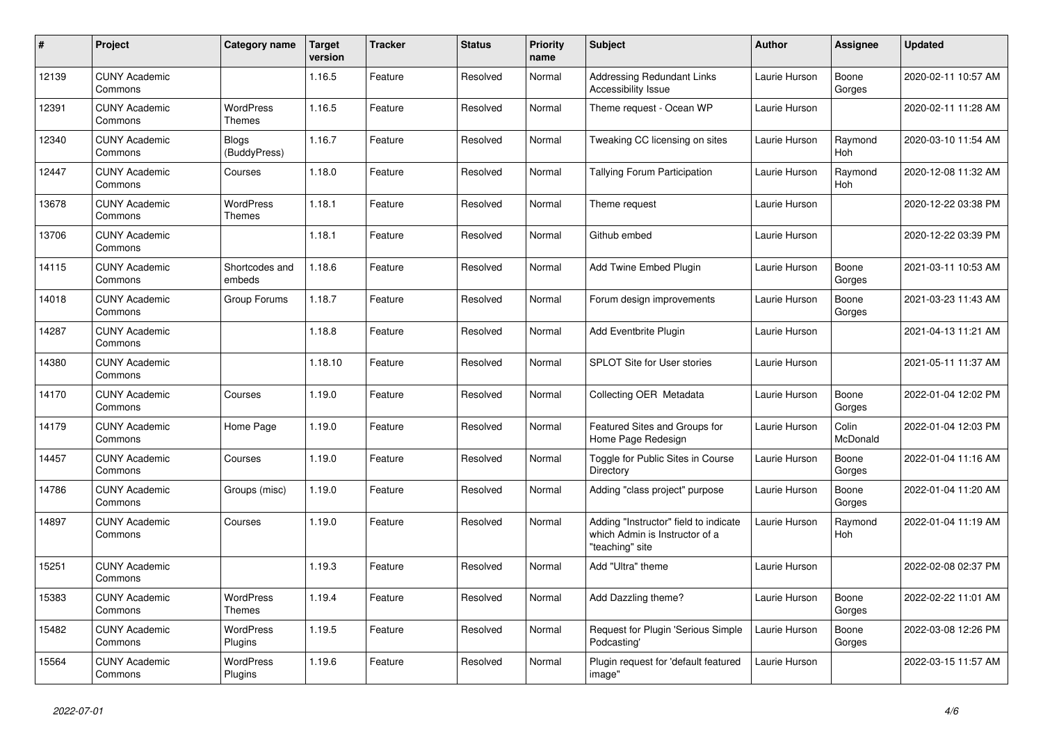| $\#$  | Project                         | Category name                     | <b>Target</b><br>version | <b>Tracker</b> | <b>Status</b> | <b>Priority</b><br>name | <b>Subject</b>                                                                             | <b>Author</b> | Assignee              | Updated             |
|-------|---------------------------------|-----------------------------------|--------------------------|----------------|---------------|-------------------------|--------------------------------------------------------------------------------------------|---------------|-----------------------|---------------------|
| 12139 | <b>CUNY Academic</b><br>Commons |                                   | 1.16.5                   | Feature        | Resolved      | Normal                  | <b>Addressing Redundant Links</b><br>Accessibility Issue                                   | Laurie Hurson | Boone<br>Gorges       | 2020-02-11 10:57 AM |
| 12391 | <b>CUNY Academic</b><br>Commons | <b>WordPress</b><br>Themes        | 1.16.5                   | Feature        | Resolved      | Normal                  | Theme request - Ocean WP                                                                   | Laurie Hurson |                       | 2020-02-11 11:28 AM |
| 12340 | <b>CUNY Academic</b><br>Commons | Blogs<br>(BuddyPress)             | 1.16.7                   | Feature        | Resolved      | Normal                  | Tweaking CC licensing on sites                                                             | Laurie Hurson | Raymond<br><b>Hoh</b> | 2020-03-10 11:54 AM |
| 12447 | <b>CUNY Academic</b><br>Commons | Courses                           | 1.18.0                   | Feature        | Resolved      | Normal                  | <b>Tallying Forum Participation</b>                                                        | Laurie Hurson | Raymond<br><b>Hoh</b> | 2020-12-08 11:32 AM |
| 13678 | <b>CUNY Academic</b><br>Commons | <b>WordPress</b><br><b>Themes</b> | 1.18.1                   | Feature        | Resolved      | Normal                  | Theme request                                                                              | Laurie Hurson |                       | 2020-12-22 03:38 PM |
| 13706 | <b>CUNY Academic</b><br>Commons |                                   | 1.18.1                   | Feature        | Resolved      | Normal                  | Github embed                                                                               | Laurie Hurson |                       | 2020-12-22 03:39 PM |
| 14115 | <b>CUNY Academic</b><br>Commons | Shortcodes and<br>embeds          | 1.18.6                   | Feature        | Resolved      | Normal                  | Add Twine Embed Plugin                                                                     | Laurie Hurson | Boone<br>Gorges       | 2021-03-11 10:53 AM |
| 14018 | <b>CUNY Academic</b><br>Commons | Group Forums                      | 1.18.7                   | Feature        | Resolved      | Normal                  | Forum design improvements                                                                  | Laurie Hurson | Boone<br>Gorges       | 2021-03-23 11:43 AM |
| 14287 | <b>CUNY Academic</b><br>Commons |                                   | 1.18.8                   | Feature        | Resolved      | Normal                  | Add Eventbrite Plugin                                                                      | Laurie Hurson |                       | 2021-04-13 11:21 AM |
| 14380 | <b>CUNY Academic</b><br>Commons |                                   | 1.18.10                  | Feature        | Resolved      | Normal                  | <b>SPLOT Site for User stories</b>                                                         | Laurie Hurson |                       | 2021-05-11 11:37 AM |
| 14170 | <b>CUNY Academic</b><br>Commons | Courses                           | 1.19.0                   | Feature        | Resolved      | Normal                  | Collecting OER Metadata                                                                    | Laurie Hurson | Boone<br>Gorges       | 2022-01-04 12:02 PM |
| 14179 | <b>CUNY Academic</b><br>Commons | Home Page                         | 1.19.0                   | Feature        | Resolved      | Normal                  | Featured Sites and Groups for<br>Home Page Redesign                                        | Laurie Hurson | Colin<br>McDonald     | 2022-01-04 12:03 PM |
| 14457 | <b>CUNY Academic</b><br>Commons | Courses                           | 1.19.0                   | Feature        | Resolved      | Normal                  | Toggle for Public Sites in Course<br>Directory                                             | Laurie Hurson | Boone<br>Gorges       | 2022-01-04 11:16 AM |
| 14786 | <b>CUNY Academic</b><br>Commons | Groups (misc)                     | 1.19.0                   | Feature        | Resolved      | Normal                  | Adding "class project" purpose                                                             | Laurie Hurson | Boone<br>Gorges       | 2022-01-04 11:20 AM |
| 14897 | <b>CUNY Academic</b><br>Commons | Courses                           | 1.19.0                   | Feature        | Resolved      | Normal                  | Adding "Instructor" field to indicate<br>which Admin is Instructor of a<br>"teaching" site | Laurie Hurson | Raymond<br>Hoh        | 2022-01-04 11:19 AM |
| 15251 | <b>CUNY Academic</b><br>Commons |                                   | 1.19.3                   | Feature        | Resolved      | Normal                  | Add "Ultra" theme                                                                          | Laurie Hurson |                       | 2022-02-08 02:37 PM |
| 15383 | <b>CUNY Academic</b><br>Commons | <b>WordPress</b><br>Themes        | 1.19.4                   | Feature        | Resolved      | Normal                  | Add Dazzling theme?                                                                        | Laurie Hurson | Boone<br>Gorges       | 2022-02-22 11:01 AM |
| 15482 | <b>CUNY Academic</b><br>Commons | WordPress<br>Plugins              | 1.19.5                   | Feature        | Resolved      | Normal                  | Request for Plugin 'Serious Simple<br>Podcasting'                                          | Laurie Hurson | Boone<br>Gorges       | 2022-03-08 12:26 PM |
| 15564 | <b>CUNY Academic</b><br>Commons | WordPress<br>Plugins              | 1.19.6                   | Feature        | Resolved      | Normal                  | Plugin request for 'default featured<br>image"                                             | Laurie Hurson |                       | 2022-03-15 11:57 AM |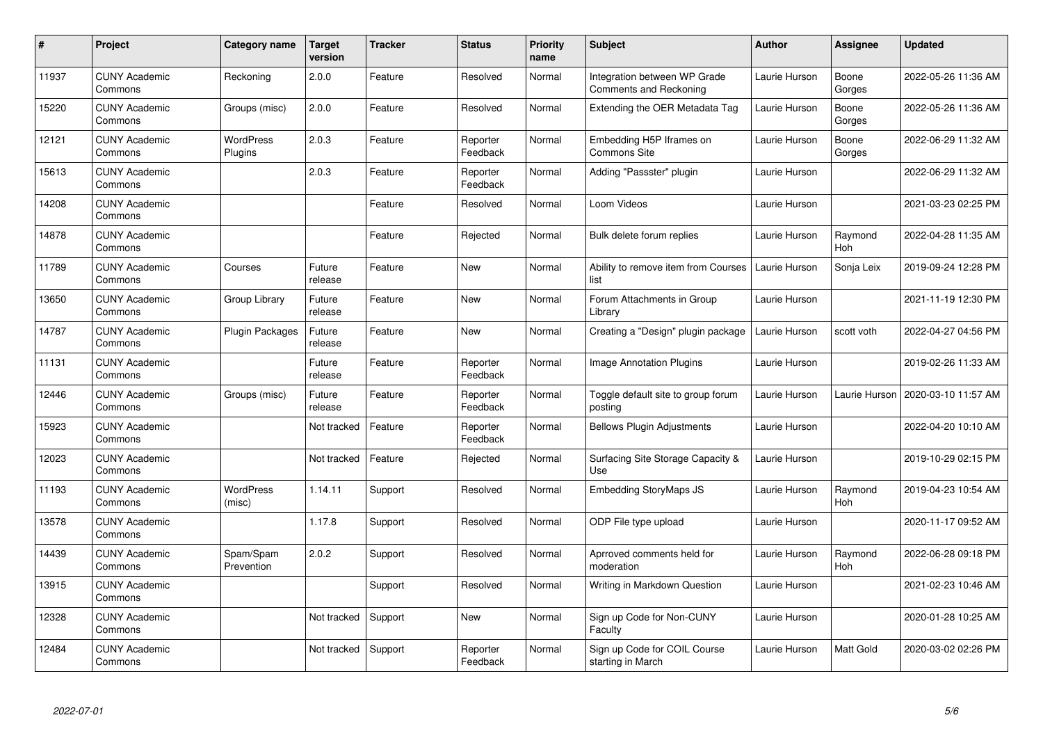| $\pmb{\#}$ | Project                         | Category name               | Target<br>version | <b>Tracker</b> | <b>Status</b>        | <b>Priority</b><br>name | <b>Subject</b>                                         | <b>Author</b> | <b>Assignee</b> | <b>Updated</b>      |
|------------|---------------------------------|-----------------------------|-------------------|----------------|----------------------|-------------------------|--------------------------------------------------------|---------------|-----------------|---------------------|
| 11937      | <b>CUNY Academic</b><br>Commons | Reckoning                   | 2.0.0             | Feature        | Resolved             | Normal                  | Integration between WP Grade<br>Comments and Reckoning | Laurie Hurson | Boone<br>Gorges | 2022-05-26 11:36 AM |
| 15220      | <b>CUNY Academic</b><br>Commons | Groups (misc)               | 2.0.0             | Feature        | Resolved             | Normal                  | Extending the OER Metadata Tag                         | Laurie Hurson | Boone<br>Gorges | 2022-05-26 11:36 AM |
| 12121      | <b>CUNY Academic</b><br>Commons | <b>WordPress</b><br>Plugins | 2.0.3             | Feature        | Reporter<br>Feedback | Normal                  | Embedding H5P Iframes on<br><b>Commons Site</b>        | Laurie Hurson | Boone<br>Gorges | 2022-06-29 11:32 AM |
| 15613      | <b>CUNY Academic</b><br>Commons |                             | 2.0.3             | Feature        | Reporter<br>Feedback | Normal                  | Adding "Passster" plugin                               | Laurie Hurson |                 | 2022-06-29 11:32 AM |
| 14208      | <b>CUNY Academic</b><br>Commons |                             |                   | Feature        | Resolved             | Normal                  | Loom Videos                                            | Laurie Hurson |                 | 2021-03-23 02:25 PM |
| 14878      | <b>CUNY Academic</b><br>Commons |                             |                   | Feature        | Rejected             | Normal                  | Bulk delete forum replies                              | Laurie Hurson | Raymond<br>Hoh  | 2022-04-28 11:35 AM |
| 11789      | <b>CUNY Academic</b><br>Commons | Courses                     | Future<br>release | Feature        | <b>New</b>           | Normal                  | Ability to remove item from Courses<br>list            | Laurie Hurson | Sonja Leix      | 2019-09-24 12:28 PM |
| 13650      | <b>CUNY Academic</b><br>Commons | Group Library               | Future<br>release | Feature        | <b>New</b>           | Normal                  | Forum Attachments in Group<br>Librarv                  | Laurie Hurson |                 | 2021-11-19 12:30 PM |
| 14787      | <b>CUNY Academic</b><br>Commons | Plugin Packages             | Future<br>release | Feature        | <b>New</b>           | Normal                  | Creating a "Design" plugin package                     | Laurie Hurson | scott voth      | 2022-04-27 04:56 PM |
| 11131      | <b>CUNY Academic</b><br>Commons |                             | Future<br>release | Feature        | Reporter<br>Feedback | Normal                  | <b>Image Annotation Plugins</b>                        | Laurie Hurson |                 | 2019-02-26 11:33 AM |
| 12446      | <b>CUNY Academic</b><br>Commons | Groups (misc)               | Future<br>release | Feature        | Reporter<br>Feedback | Normal                  | Toggle default site to group forum<br>posting          | Laurie Hurson | Laurie Hurson   | 2020-03-10 11:57 AM |
| 15923      | <b>CUNY Academic</b><br>Commons |                             | Not tracked       | Feature        | Reporter<br>Feedback | Normal                  | <b>Bellows Plugin Adjustments</b>                      | Laurie Hurson |                 | 2022-04-20 10:10 AM |
| 12023      | <b>CUNY Academic</b><br>Commons |                             | Not tracked       | Feature        | Rejected             | Normal                  | Surfacing Site Storage Capacity &<br>Use               | Laurie Hurson |                 | 2019-10-29 02:15 PM |
| 11193      | <b>CUNY Academic</b><br>Commons | <b>WordPress</b><br>(misc)  | 1.14.11           | Support        | Resolved             | Normal                  | <b>Embedding StoryMaps JS</b>                          | Laurie Hurson | Raymond<br>Hoh  | 2019-04-23 10:54 AM |
| 13578      | <b>CUNY Academic</b><br>Commons |                             | 1.17.8            | Support        | Resolved             | Normal                  | ODP File type upload                                   | Laurie Hurson |                 | 2020-11-17 09:52 AM |
| 14439      | <b>CUNY Academic</b><br>Commons | Spam/Spam<br>Prevention     | 2.0.2             | Support        | Resolved             | Normal                  | Aprroved comments held for<br>moderation               | Laurie Hurson | Raymond<br>Hoh  | 2022-06-28 09:18 PM |
| 13915      | <b>CUNY Academic</b><br>Commons |                             |                   | Support        | Resolved             | Normal                  | Writing in Markdown Question                           | Laurie Hurson |                 | 2021-02-23 10:46 AM |
| 12328      | <b>CUNY Academic</b><br>Commons |                             | Not tracked       | Support        | New                  | Normal                  | Sign up Code for Non-CUNY<br>Faculty                   | Laurie Hurson |                 | 2020-01-28 10:25 AM |
| 12484      | <b>CUNY Academic</b><br>Commons |                             | Not tracked       | Support        | Reporter<br>Feedback | Normal                  | Sign up Code for COIL Course<br>starting in March      | Laurie Hurson | Matt Gold       | 2020-03-02 02:26 PM |